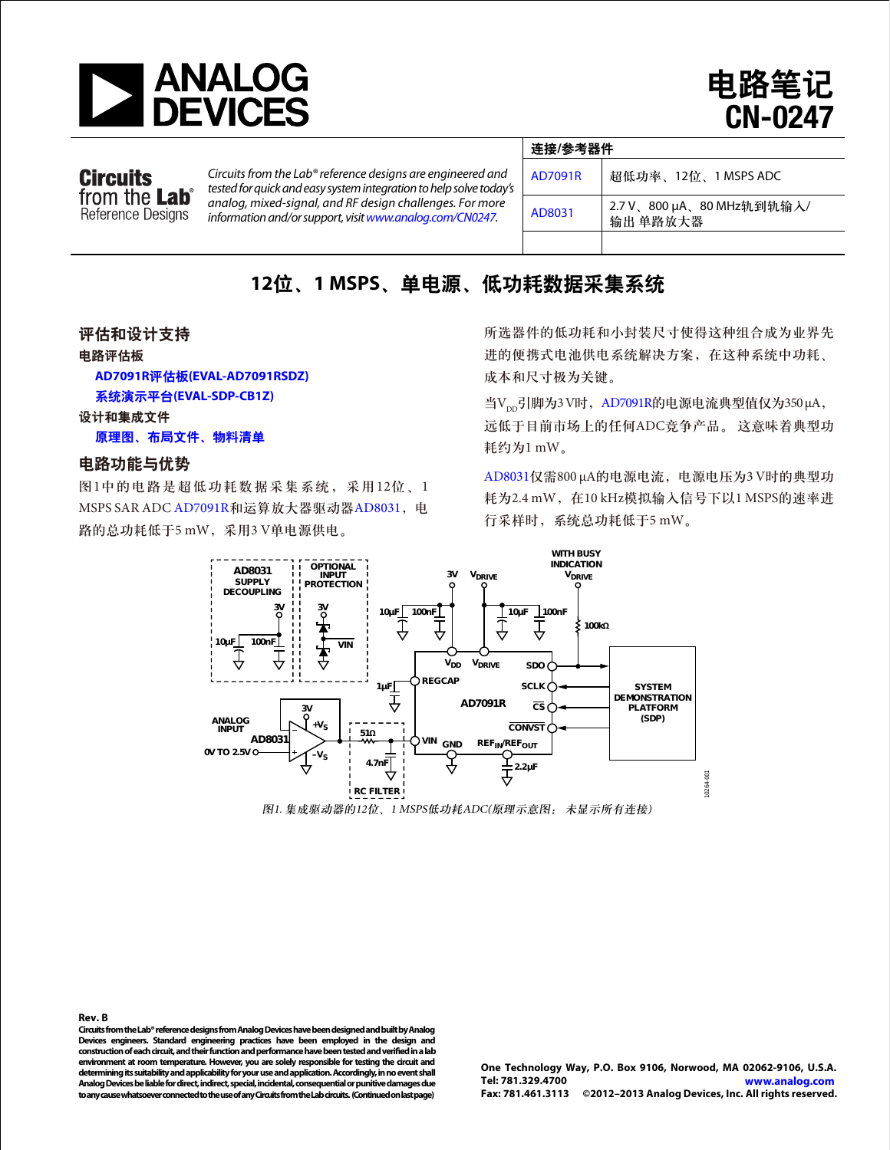

电路笔记 CN-0247

## **Circuits** from the **Lab**<sup>®</sup> Reference Designs

*Circuits from the Lab® reference designs are engineered and testedforquick and easy systemintegration to helpsolve today's analog, mixed-signal, and RF design challenges. For more*  information and/or support, visit www.analog.com/CN0247.

| 连接/参考器件 |                                       |  |  |  |
|---------|---------------------------------------|--|--|--|
| AD7091R | 超低功率、12位、1 MSPS ADC                   |  |  |  |
| AD8031  | 2.7 V、800 µA、80 MHz轨到轨输入/<br>输出 单路放大器 |  |  |  |
|         |                                       |  |  |  |

## **12**位、**1 MSPS**、单电源、低功耗数据采集系统

#### 评估和设计支持

电路评估板

**AD7091R**评估板**[\(EVAL-AD7091RSDZ\)](http://www.analog.com/zh/evaluation/EVAL-AD7091R/eb.html?doc=CN0247.pdf)**

系统演示平台**[\(EVAL-SDP-CB1Z\)](http://www.analog.com/zh/system-demonstration-platform/controller-boards/evaluation/SDP-B/eb.html)**

#### 设计和集成文件

[原理图、布局文件、物料清单](http://www.analog.com/CN0247-DesignSupport?doc=CN0247.pdf)

#### 电路功能与优势

图1中的电路是超低功耗数据采集系统,采用12位、1 MSPS SAR ADC [AD7091R](www.analog.com/zh/AD7091R)和运算放大器驱动器[AD8031](www.analog.com/zh/AD8031), 电 路的总功耗低于5 mW,采用3 V单电源供电。

所选器件的低功耗和小封装尺寸使得这种组合成为业界先 进的便携式电池供电系统解决方案,在这种系统中功耗、 成本和尺寸极为关键。

当V<sub>pp</sub>引脚为3 V时, [AD7091R](www.analog.com/zh/AD7091R)的电源电流典型值仅为350 μA, 远低于目前市场上的任何ADC竞争产品。 这意味着典型功 耗约为1 mW。

[AD8031](www.analog.com/zh/AD8031)仅需800 μA的电源电流,电源电压为3 V时的典型功 耗为2.4 mW, 在10 kHz模拟输入信号下以1 MSPS的速率进 行采样时,系统总功耗低于5 mW。



**Rev. B Circuits from the Lab® reference designs from Analog Devices have been designedand built by Analog Devices engineers. Standard engineering practices have been employed in the design and**  construction of each circuit, and their function and performance have been tested and verified in a lab **environment at room temperature. However, you are solely responsible for testing the circuit and determining its suitability and applicability for your use and application. Accordingly, in no event shall AnalogDevices be liable for direct, indirect, special, incidental, consequential or punitive damages due to any cause whatsoeverconnectedtotheuseof any Circuits from the Lab circuits. (Continued on last page)** 

**One Technology Way, P.O. Box 9106, Norwood, MA 02062-9106, U.S.A. Tel: 781.329.4700 www.analog.com Fax: 781.461.3113 ©2012–2013 Analog Devices, Inc. All rights reserved.**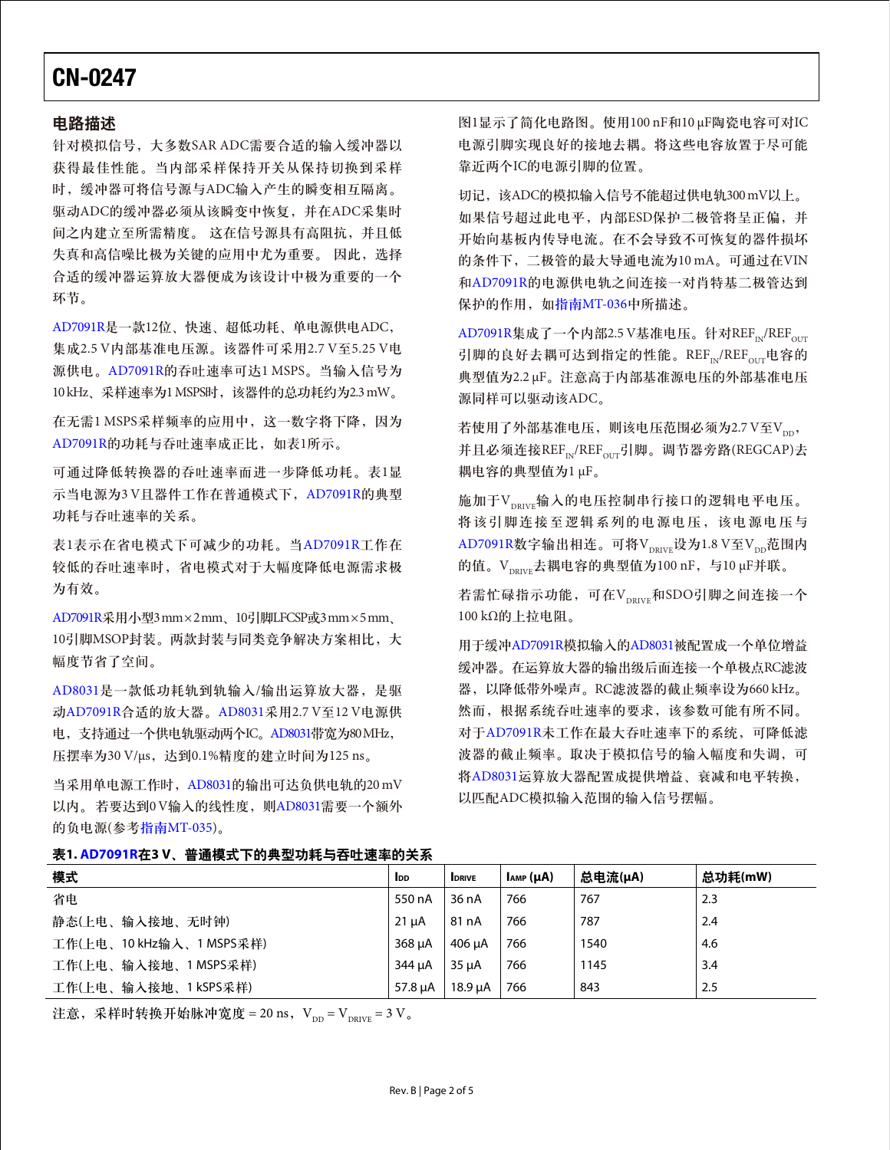#### 电路描述

针对模拟信号,大多数SAR ADC需要合适的输入缓冲器以 获得最佳性能。当内部采样保持开关从保持切换到采样 时,缓冲器可将信号源与ADC输入产生的瞬变相互隔离。 驱动ADC的缓冲器必须从该瞬变中恢复,并在ADC采集时 间之内建立至所需精度。 这在信号源具有高阻抗,并且低 失真和高信噪比极为关键的应用中尤为重要。 因此,选择 合适的缓冲器运算放大器便成为该设计中极为重要的一个 环节。

[AD7091R](www.analog.com/zh/AD7091R)是一款12位、快速、超低功耗、单电源供电ADC, 集成2.5 V内部基准电压源。该器件可采用2.7 V至5.25 V电 源供电。[AD7091R](www.analog.com/zh/AD7091R)的吞吐速率可达1 MSPS。当输入信号为 10 kHz、采样速率为1 MSPS时, 该器件的总功耗约为2.3 mW。

在无需1 MSPS采样频率的应用中,这一数字将下降,因为 [AD7091R](www.analog.com/zh/AD7091R)的功耗与吞吐速率成正比,如表1所示。

可通过降低转换器的吞吐速率而进一步降低功耗。表1显 示当电源为3 V且器件工作在普通模式下,[AD7091R](www.analog.com/zh/AD7091R)的典型 功耗与吞吐速率的关系。

表1表示在省电模式下可减少的功耗。当[AD7091R](www.analog.com/zh/AD7091R)工作在 较低的吞吐速率时,省电模式对于大幅度降低电源需求极 为有效。

[AD7091R](www.analog.com/zh/AD7091R)采用小型3 mm × 2 mm、10引脚LFCSP或3 mm × 5 mm、 10引脚MSOP封装。两款封装与同类竞争解决方案相比,大 幅度节省了空间。

[AD8031](www.analog.com/zh/AD8031)是一款低功耗轨到轨输入/输出运算放大器,是驱 动[AD7091R](www.analog.com/zh/AD7091R)合适的放大器。[AD8031](www.analog.com/zh/AD8031)采用2.7 V至12 V电源供 电,支持通过一个供电轨驱动两个IC。[AD8031](www.analog.com/zh/AD8031)带宽为80 MHz, 压摆率为30 V/μs, 达到0.1%精度的建立时间为125 ns。

当采用单电源工作时,[AD8031](www.analog.com/zh/AD8031)的输出可达负供电轨的20 mV 以内。若要达到0V输入的线性度,则[AD8031](www.analog.com/zh/AD8031)需要一个额外 的负电源(参考指南[MT-035\)](http://www.analog.com/MT-035?doc=CN0247.pdf)。

图1显示了简化电路图。使用100 nF和10 μF陶瓷电容可对IC 电源引脚实现良好的接地去耦。将这些电容放置于尽可能 靠近两个IC的电源引脚的位置。

切记,该ADC的模拟输入信号不能超过供电轨300 mV以上。 如果信号超过此电平,内部ESD保护二极管将呈正偏,并 开始向基板内传导电流。在不会导致不可恢复的器件损坏 的条件下,二极管的最大导通电流为10 mA。可通过在VIN 和[AD7091R](www.analog.com/zh/AD7091R)的电源供电轨之间连接一对肖特基二极管达到 保护的作用, 如指南[MT-036](http://www.analog.com/MT-036?doc=CN0247.pdf)中所描述。

 $AD7091R$ 集成了一个内部2.5 V基准电压。针对 $REF_{\text{N}}/REF_{\text{OUT}}$ 引脚的良好去耦可达到指定的性能。REF<sub>N/</sub>REF<sub>OUT</sub>电容的 典型值为2.2 μF。注意高于内部基准源电压的外部基准电压 源同样可以驱动该ADC。

若使用了外部基准电压,则该电压范围必须为2.7 V至Vpp, 并且必须连接REF<sub>IN</sub>/REF<sub>OUT</sub>引脚。调节器旁路(REGCAP)去 耦电容的典型值为1 μF。

施加于VpRIVE输入的电压控制串行接口的逻辑电平电压。 将该引脚连接至逻辑系列的电源电压,该电源电压与  $AD7091R数字输出相连。可将V $_{\text{DRIVE}}$  $AD7091R数字输出相连。可将V $_{\text{DRIVE}}$ 设为1.8 V至V $_{\text{DD}}$ 范围内$$ 的值。V<sub>DRIVE</sub>去耦电容的典型值为100 nF, 与10 μF并联。

若需忙碌指示功能,可在V<sub>DRIVE</sub>和SDO引脚之间连接一个 100 kΩ的上拉电阻。

用于缓冲[AD7091R](www.analog.com/zh/AD7091R)模拟输入的[AD8031](www.analog.com/zh/AD8031)被配置成一个单位增益 缓冲器。在运算放大器的输出级后面连接一个单极点RC滤波 器,以降低带外噪声。RC滤波器的截止频率设为660 kHz。 然而,根据系统吞吐速率的要求,该参数可能有所不同。 对于[AD7091R](www.analog.com/zh/AD7091R)未工作在最大吞吐速率下的系统,可降低滤 波器的截止频率。取决于模拟信号的输入幅度和失调,可 将[AD8031](www.analog.com/zh/AD8031)运算放大器配置成提供增益、衰减和电平转换, 以匹配ADC模拟输入范围的输入信号摆幅。

|--|--|

| 模式                       | <b>I</b> <sub>DD</sub> | <b>IDRIVE</b> | $I_{AMP}(\mu A)$ | 总电流(μA) | 总功耗(mW) |
|--------------------------|------------------------|---------------|------------------|---------|---------|
| 省电                       | 550 nA                 | 36 nA         | 766              | 767     | 2.3     |
| 静态(上电、输入接地、无时钟)          | 21 µA                  | 81 nA         | 766              | 787     | 2.4     |
| 工作(上电、10 kHz输入、1 MSPS采样) | $368 \mu A$            | $406 \mu A$   | 766              | 1540    | 4.6     |
| 工作(上电、输入接地、1 MSPS采样)     | 344 µA                 | $35 \mu A$    | 766              | 1145    | 3.4     |
| 工作(上电、输入接地、1kSPS采样)      | 57.8 µA                | $18.9 \mu A$  | 766              | 843     | 2.5     |

注意,采样时转换开始脉冲宽度 = 20 ns,  $V_{\text{DD}} = V_{\text{DRIVE}} = 3 V_{\text{o}}$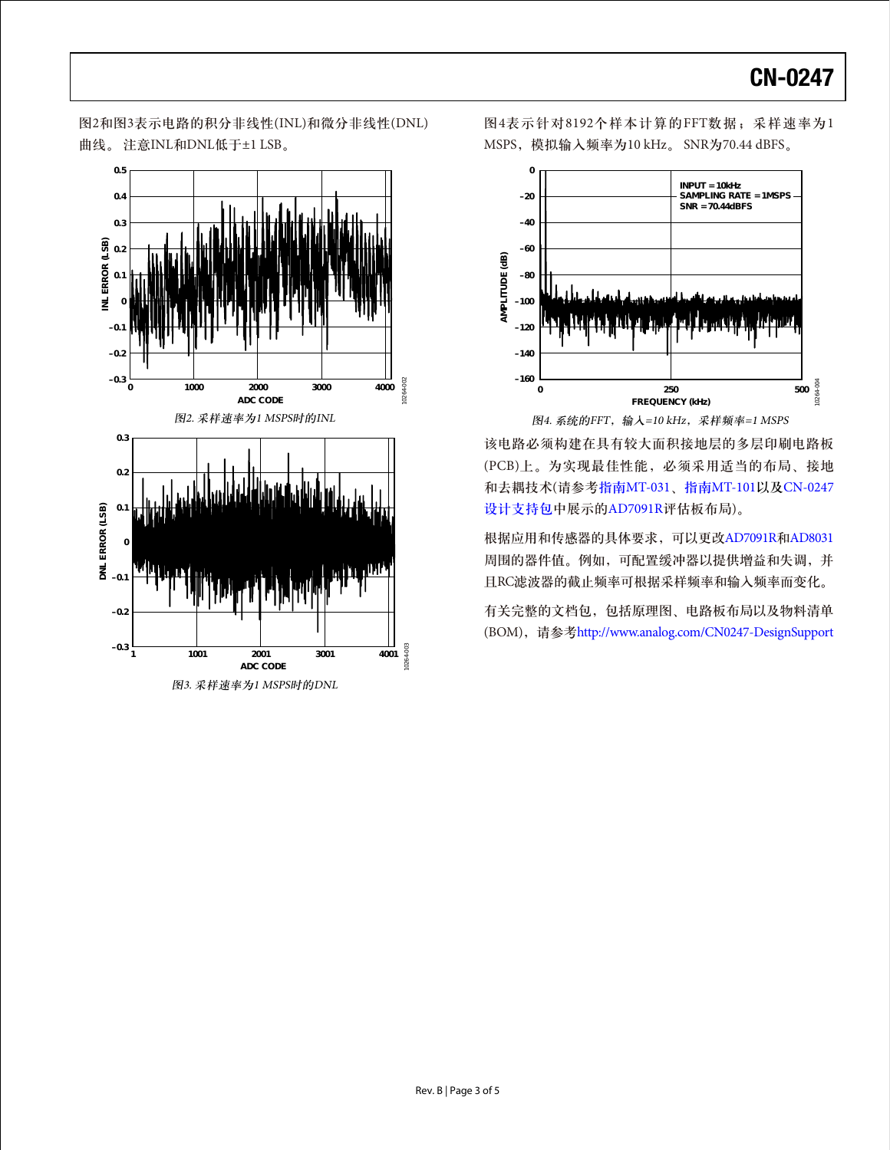图2和图3表示电路的积分非线性(INL)和微分非线性(DNL) 曲线。 注意INL和DNL低于±1 LSB。



图4表示针对8192个样本计算的FFT数据;采样速率为1 MSPS,模拟输入频率为10 kHz。 SNR为70.44 dBFS。



该电路必须构建在具有较大面积接地层的多层印刷电路板 (PCB)上。为实现最佳性能,必须采用适当的布局、接地 和去耦技术(请参考指南[MT-031](http://www.analog.com/MT-031?doc=CN0247.pdf)、指南[MT-101](http://www.analog.com/MT-101?doc=CN0247.pdf)以及[CN-0247](http://www.analog.com/CN0247-DesignSupport?doc=CN0247.pdf) [设计支持包中](http://www.analog.com/CN0247-DesignSupport?doc=CN0247.pdf)展示的[AD7091R](www.analog.com/zh/AD7091R)评估板布局)。

根据应用和传感器的具体要求,可以更改[AD7091R](www.analog.com/zh/AD7091R)和[AD8031](www.analog.com/zh/AD8031) 周围的器件值。例如,可配置缓冲器以提供增益和失调,并 且RC滤波器的截止频率可根据采样频率和输入频率而变化。

有关完整的文档包,包括原理图、电路板布局以及物料清单 (BOM),请参考http://www.analog.com/CN0247-DesignSupport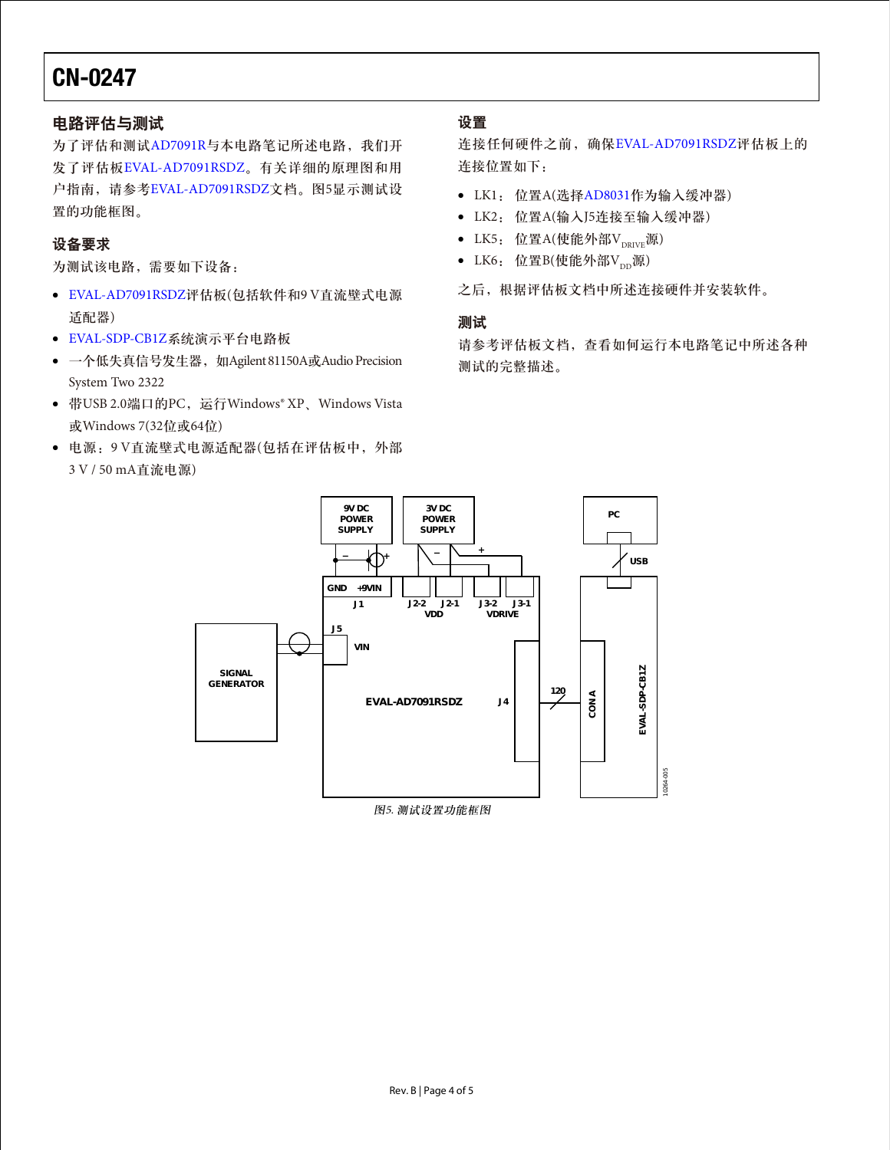## 电路评估与测试

为了评估和测试[AD7091R](www.analog.com/zh/AD7091R)与本电路笔记所述电路, 我们开 发了评估板[EVAL-AD7091RSDZ](http://www.analog.com/zh/evaluation/EVAL-AD7091R/eb.html?doc=CN0247.pdf)。有关详细的原理图和用 户指南,请参考[EVAL-AD7091RSDZ](http://www.analog.com/zh/evaluation/EVAL-AD7091R/eb.html?doc=CN0247.pdf)文档。图5显示测试设 置的功能框图。

### 设备要求

为测试该电路,需要如下设备:

- [EVAL-AD7091RSDZ](http://www.analog.com/zh/evaluation/EVAL-AD7091R/eb.html?doc=CN0247.pdf)评估板(包括软件和9 V直流壁式电源 适配器)
- [EVAL-SDP-CB1Z](http://www.analog.com/zh/system-demonstration-platform/controller-boards/evaluation/SDP-B/eb.html)系统演示平台电路板
- 一个低失真信号发生器, 如Agilent 81150A或Audio Precision System Two 2322
- 带USB 2.0端口的PC,运行Windows® XP、Windows Vista 或Windows 7(32位或64位)
- 电源:9 V直流壁式电源适配器(包括在评估板中,外部 3 V / 50 mA直流电源)

### 设置

连接任何硬件之前,确保[EVAL-AD7091RSDZ](http://www.analog.com/zh/evaluation/EVAL-AD7091R/eb.html?doc=CN0247.pdf)评估板上的 连接位置如下:

- LK1: 位置A(选择[AD8031](www.analog.com/zh/AD8031)作为输入缓冲器)
- LK2: 位置A(输入J5连接至输入缓冲器)
- LK5: 位置A(使能外部V $_{\text{DRIVE}}$ 源)
- LK6: 位置B(使能外部V<sub>DD</sub>源)

之后,根据评估板文档中所述连接硬件并安装软件。

### 测试

请参考评估板文档,查看如何运行本电路笔记中所述各种 测试的完整描述。



图5. 测试设置功能框图